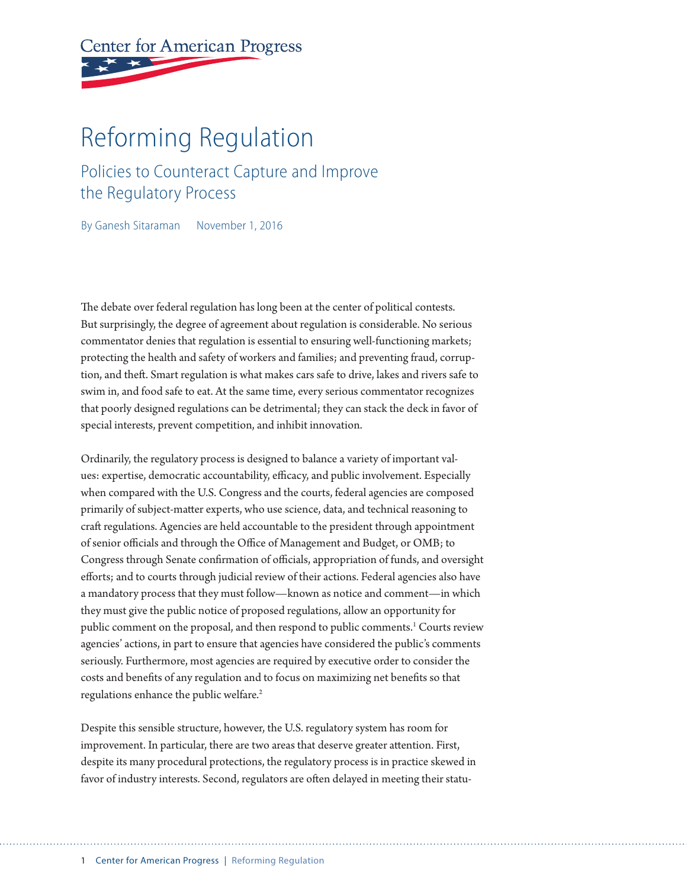# **Center for American Progress**

# Reforming Regulation

# Policies to Counteract Capture and Improve the Regulatory Process

By Ganesh Sitaraman November 1, 2016

The debate over federal regulation has long been at the center of political contests. But surprisingly, the degree of agreement about regulation is considerable. No serious commentator denies that regulation is essential to ensuring well-functioning markets; protecting the health and safety of workers and families; and preventing fraud, corruption, and theft. Smart regulation is what makes cars safe to drive, lakes and rivers safe to swim in, and food safe to eat. At the same time, every serious commentator recognizes that poorly designed regulations can be detrimental; they can stack the deck in favor of special interests, prevent competition, and inhibit innovation.

Ordinarily, the regulatory process is designed to balance a variety of important values: expertise, democratic accountability, efficacy, and public involvement. Especially when compared with the U.S. Congress and the courts, federal agencies are composed primarily of subject-matter experts, who use science, data, and technical reasoning to craft regulations. Agencies are held accountable to the president through appointment of senior officials and through the Office of Management and Budget, or OMB; to Congress through Senate confirmation of officials, appropriation of funds, and oversight efforts; and to courts through judicial review of their actions. Federal agencies also have a mandatory process that they must follow—known as notice and comment—in which they must give the public notice of proposed regulations, allow an opportunity for public comment on the proposal, and then respond to public comments.<sup>1</sup> Courts review agencies' actions, in part to ensure that agencies have considered the public's comments seriously. Furthermore, most agencies are required by executive order to consider the costs and benefits of any regulation and to focus on maximizing net benefits so that regulations enhance the public welfare.<sup>2</sup>

Despite this sensible structure, however, the U.S. regulatory system has room for improvement. In particular, there are two areas that deserve greater attention. First, despite its many procedural protections, the regulatory process is in practice skewed in favor of industry interests. Second, regulators are often delayed in meeting their statu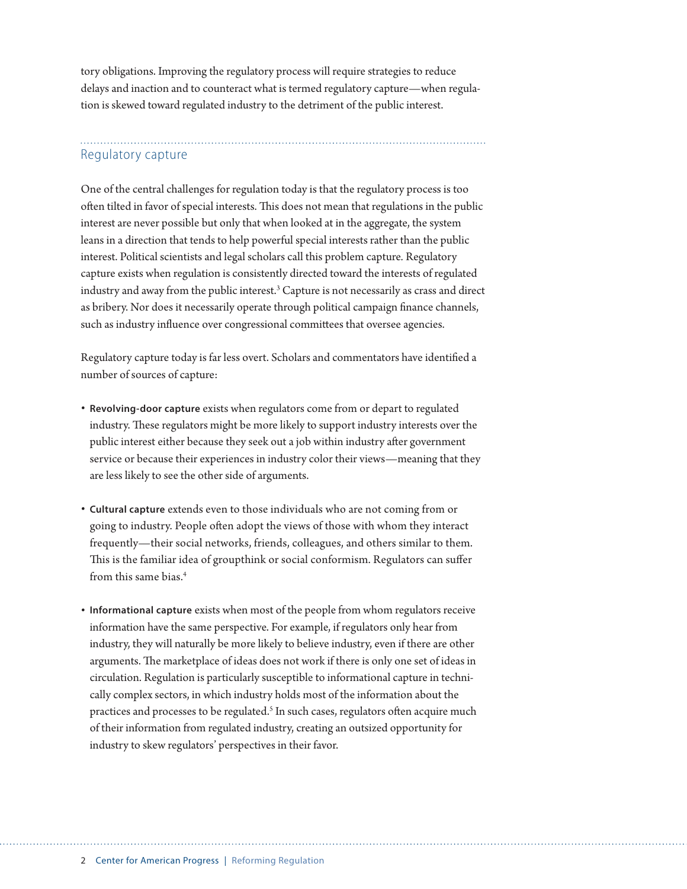tory obligations. Improving the regulatory process will require strategies to reduce delays and inaction and to counteract what is termed regulatory capture—when regulation is skewed toward regulated industry to the detriment of the public interest.

### Regulatory capture

One of the central challenges for regulation today is that the regulatory process is too often tilted in favor of special interests. This does not mean that regulations in the public interest are never possible but only that when looked at in the aggregate, the system leans in a direction that tends to help powerful special interests rather than the public interest. Political scientists and legal scholars call this problem capture*.* Regulatory capture exists when regulation is consistently directed toward the interests of regulated industry and away from the public interest.<sup>3</sup> Capture is not necessarily as crass and direct as bribery. Nor does it necessarily operate through political campaign finance channels, such as industry influence over congressional committees that oversee agencies.

Regulatory capture today is far less overt. Scholars and commentators have identified a number of sources of capture:

- **Revolving-door capture** exists when regulators come from or depart to regulated industry. These regulators might be more likely to support industry interests over the public interest either because they seek out a job within industry after government service or because their experiences in industry color their views—meaning that they are less likely to see the other side of arguments.
- **Cultural capture** extends even to those individuals who are not coming from or going to industry. People often adopt the views of those with whom they interact frequently—their social networks, friends, colleagues, and others similar to them. This is the familiar idea of groupthink or social conformism. Regulators can suffer from this same bias.4
- **Informational capture** exists when most of the people from whom regulators receive information have the same perspective. For example, if regulators only hear from industry, they will naturally be more likely to believe industry, even if there are other arguments. The marketplace of ideas does not work if there is only one set of ideas in circulation. Regulation is particularly susceptible to informational capture in technically complex sectors, in which industry holds most of the information about the practices and processes to be regulated.<sup>5</sup> In such cases, regulators often acquire much of their information from regulated industry, creating an outsized opportunity for industry to skew regulators' perspectives in their favor.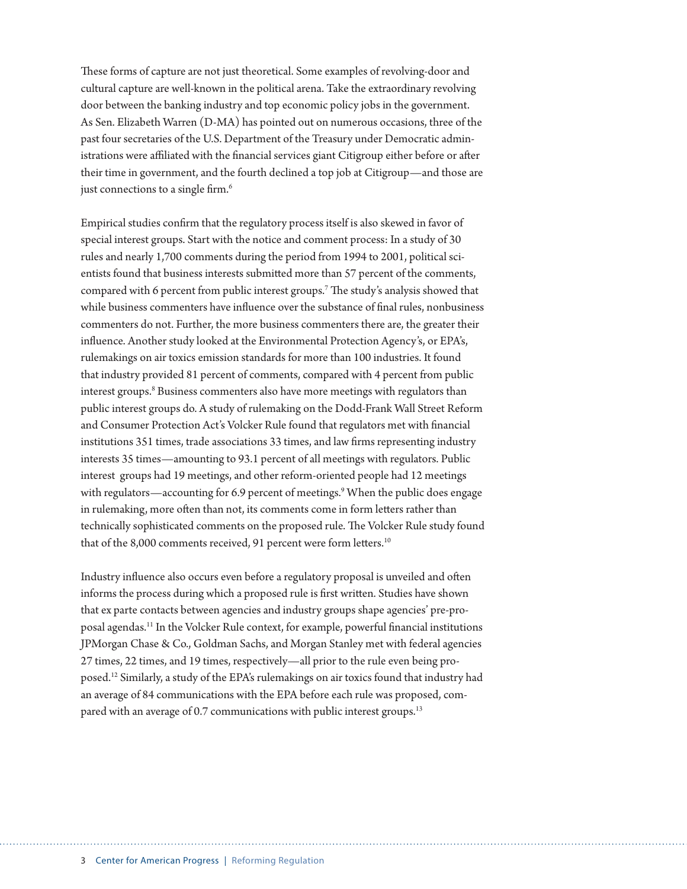These forms of capture are not just theoretical. Some examples of revolving-door and cultural capture are well-known in the political arena. Take the extraordinary revolving door between the banking industry and top economic policy jobs in the government. As Sen. Elizabeth Warren (D-MA) has pointed out on numerous occasions, three of the past four secretaries of the U.S. Department of the Treasury under Democratic administrations were affiliated with the financial services giant Citigroup either before or after their time in government, and the fourth declined a top job at Citigroup—and those are just connections to a single firm.<sup>6</sup>

Empirical studies confirm that the regulatory process itself is also skewed in favor of special interest groups. Start with the notice and comment process: In a study of 30 rules and nearly 1,700 comments during the period from 1994 to 2001, political scientists found that business interests submitted more than 57 percent of the comments, compared with 6 percent from public interest groups.7 The study's analysis showed that while business commenters have influence over the substance of final rules, nonbusiness commenters do not. Further, the more business commenters there are, the greater their influence. Another study looked at the Environmental Protection Agency's, or EPA's, rulemakings on air toxics emission standards for more than 100 industries. It found that industry provided 81 percent of comments, compared with 4 percent from public interest groups.<sup>8</sup> Business commenters also have more meetings with regulators than public interest groups do. A study of rulemaking on the Dodd-Frank Wall Street Reform and Consumer Protection Act's Volcker Rule found that regulators met with financial institutions 351 times, trade associations 33 times, and law firms representing industry interests 35 times—amounting to 93.1 percent of all meetings with regulators. Public interest groups had 19 meetings, and other reform-oriented people had 12 meetings with regulators—accounting for 6.9 percent of meetings.<sup>9</sup> When the public does engage in rulemaking, more often than not, its comments come in form letters rather than technically sophisticated comments on the proposed rule. The Volcker Rule study found that of the 8,000 comments received, 91 percent were form letters.<sup>10</sup>

Industry influence also occurs even before a regulatory proposal is unveiled and often informs the process during which a proposed rule is first written. Studies have shown that ex parte contacts between agencies and industry groups shape agencies' pre-proposal agendas.11 In the Volcker Rule context, for example, powerful financial institutions JPMorgan Chase & Co., Goldman Sachs, and Morgan Stanley met with federal agencies 27 times, 22 times, and 19 times, respectively—all prior to the rule even being proposed.12 Similarly, a study of the EPA's rulemakings on air toxics found that industry had an average of 84 communications with the EPA before each rule was proposed, compared with an average of 0.7 communications with public interest groups.<sup>13</sup>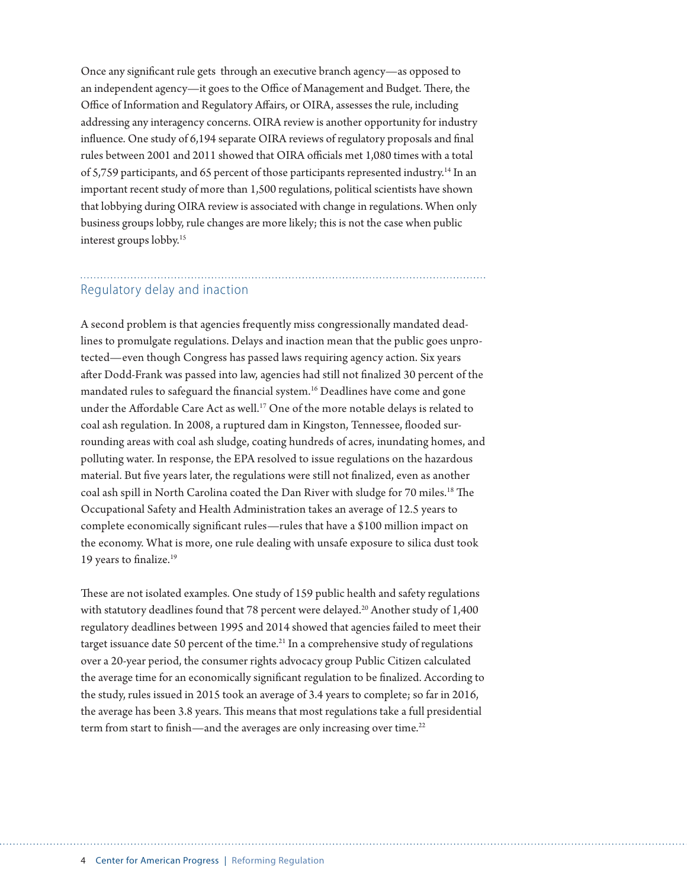Once any significant rule gets through an executive branch agency—as opposed to an independent agency—it goes to the Office of Management and Budget. There, the Office of Information and Regulatory Affairs, or OIRA, assesses the rule, including addressing any interagency concerns. OIRA review is another opportunity for industry influence. One study of 6,194 separate OIRA reviews of regulatory proposals and final rules between 2001 and 2011 showed that OIRA officials met 1,080 times with a total of 5,759 participants, and 65 percent of those participants represented industry.<sup>14</sup> In an important recent study of more than 1,500 regulations, political scientists have shown that lobbying during OIRA review is associated with change in regulations. When only business groups lobby, rule changes are more likely; this is not the case when public interest groups lobby.<sup>15</sup>

# Regulatory delay and inaction

A second problem is that agencies frequently miss congressionally mandated deadlines to promulgate regulations. Delays and inaction mean that the public goes unprotected—even though Congress has passed laws requiring agency action. Six years after Dodd-Frank was passed into law, agencies had still not finalized 30 percent of the mandated rules to safeguard the financial system.<sup>16</sup> Deadlines have come and gone under the Affordable Care Act as well.<sup>17</sup> One of the more notable delays is related to coal ash regulation. In 2008, a ruptured dam in Kingston, Tennessee, flooded surrounding areas with coal ash sludge, coating hundreds of acres, inundating homes, and polluting water. In response, the EPA resolved to issue regulations on the hazardous material. But five years later, the regulations were still not finalized, even as another coal ash spill in North Carolina coated the Dan River with sludge for 70 miles.<sup>18</sup> The Occupational Safety and Health Administration takes an average of 12.5 years to complete economically significant rules—rules that have a \$100 million impact on the economy. What is more, one rule dealing with unsafe exposure to silica dust took 19 years to finalize.19

These are not isolated examples. One study of 159 public health and safety regulations with statutory deadlines found that 78 percent were delayed.<sup>20</sup> Another study of 1,400 regulatory deadlines between 1995 and 2014 showed that agencies failed to meet their target issuance date 50 percent of the time. $21$  In a comprehensive study of regulations over a 20-year period, the consumer rights advocacy group Public Citizen calculated the average time for an economically significant regulation to be finalized. According to the study, rules issued in 2015 took an average of 3.4 years to complete; so far in 2016, the average has been 3.8 years. This means that most regulations take a full presidential term from start to finish—and the averages are only increasing over time.<sup>22</sup>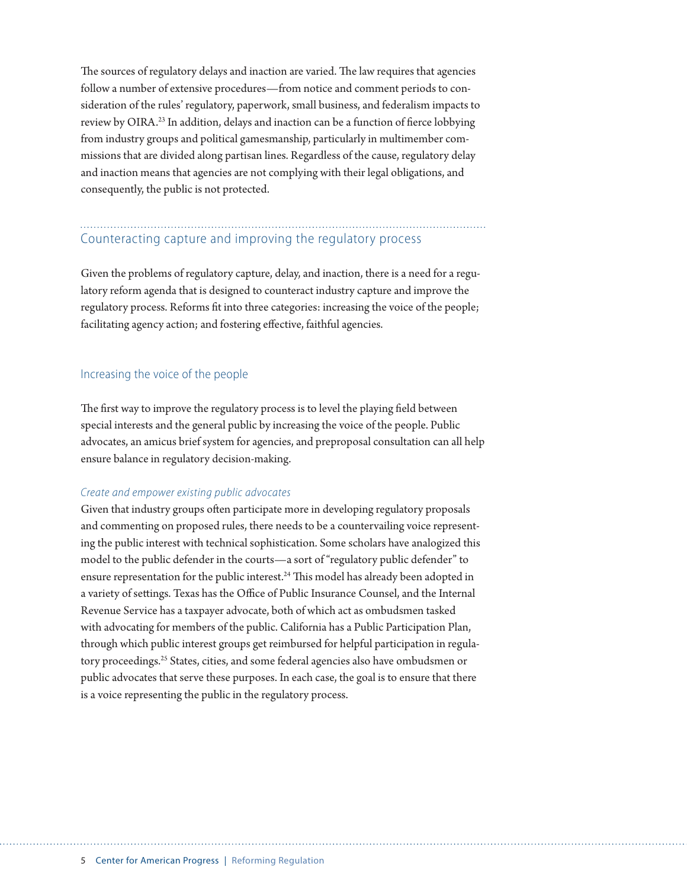The sources of regulatory delays and inaction are varied. The law requires that agencies follow a number of extensive procedures—from notice and comment periods to consideration of the rules' regulatory, paperwork, small business, and federalism impacts to review by OIRA.23 In addition, delays and inaction can be a function of fierce lobbying from industry groups and political gamesmanship, particularly in multimember commissions that are divided along partisan lines. Regardless of the cause, regulatory delay and inaction means that agencies are not complying with their legal obligations, and consequently, the public is not protected.

## Counteracting capture and improving the regulatory process

Given the problems of regulatory capture, delay, and inaction, there is a need for a regulatory reform agenda that is designed to counteract industry capture and improve the regulatory process. Reforms fit into three categories: increasing the voice of the people; facilitating agency action; and fostering effective, faithful agencies.

#### Increasing the voice of the people

The first way to improve the regulatory process is to level the playing field between special interests and the general public by increasing the voice of the people. Public advocates, an amicus brief system for agencies, and preproposal consultation can all help ensure balance in regulatory decision-making.

#### *Create and empower existing public advocates*

Given that industry groups often participate more in developing regulatory proposals and commenting on proposed rules, there needs to be a countervailing voice representing the public interest with technical sophistication. Some scholars have analogized this model to the public defender in the courts—a sort of "regulatory public defender" to ensure representation for the public interest.24 This model has already been adopted in a variety of settings. Texas has the Office of Public Insurance Counsel, and the Internal Revenue Service has a taxpayer advocate, both of which act as ombudsmen tasked with advocating for members of the public. California has a Public Participation Plan, through which public interest groups get reimbursed for helpful participation in regulatory proceedings.<sup>25</sup> States, cities, and some federal agencies also have ombudsmen or public advocates that serve these purposes. In each case, the goal is to ensure that there is a voice representing the public in the regulatory process.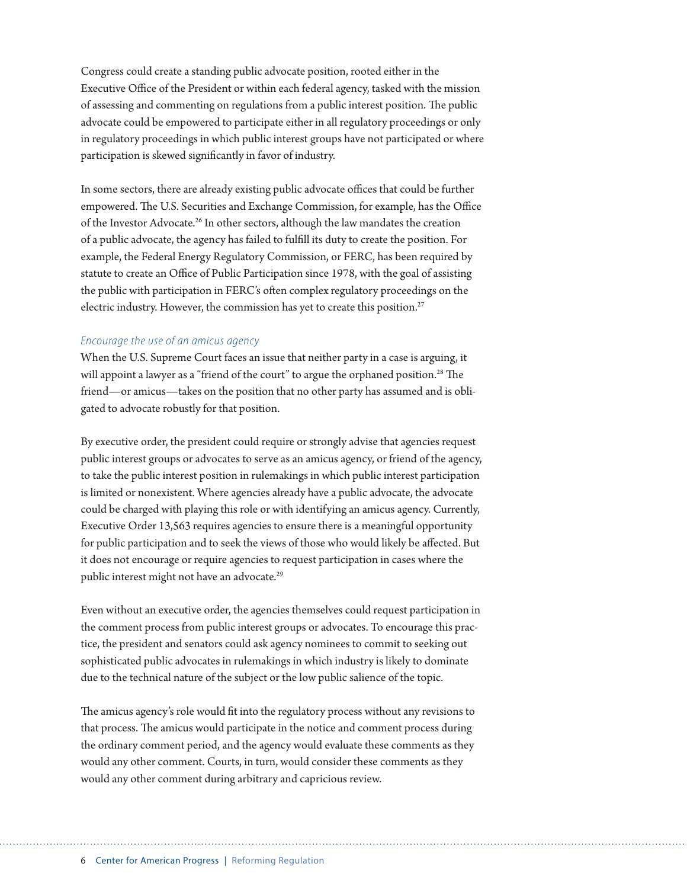Congress could create a standing public advocate position, rooted either in the Executive Office of the President or within each federal agency, tasked with the mission of assessing and commenting on regulations from a public interest position. The public advocate could be empowered to participate either in all regulatory proceedings or only in regulatory proceedings in which public interest groups have not participated or where participation is skewed significantly in favor of industry.

In some sectors, there are already existing public advocate offices that could be further empowered. The U.S. Securities and Exchange Commission, for example, has the Office of the Investor Advocate.<sup>26</sup> In other sectors, although the law mandates the creation of a public advocate, the agency has failed to fulfill its duty to create the position. For example, the Federal Energy Regulatory Commission, or FERC, has been required by statute to create an Office of Public Participation since 1978, with the goal of assisting the public with participation in FERC's often complex regulatory proceedings on the electric industry. However, the commission has yet to create this position.<sup>27</sup>

#### *Encourage the use of an amicus agency*

When the U.S. Supreme Court faces an issue that neither party in a case is arguing, it will appoint a lawyer as a "friend of the court" to argue the orphaned position.<sup>28</sup> The friend—or amicus—takes on the position that no other party has assumed and is obligated to advocate robustly for that position.

By executive order, the president could require or strongly advise that agencies request public interest groups or advocates to serve as an amicus agency, or friend of the agency, to take the public interest position in rulemakings in which public interest participation is limited or nonexistent. Where agencies already have a public advocate, the advocate could be charged with playing this role or with identifying an amicus agency. Currently, Executive Order 13,563 requires agencies to ensure there is a meaningful opportunity for public participation and to seek the views of those who would likely be affected. But it does not encourage or require agencies to request participation in cases where the public interest might not have an advocate.<sup>29</sup>

Even without an executive order, the agencies themselves could request participation in the comment process from public interest groups or advocates. To encourage this practice, the president and senators could ask agency nominees to commit to seeking out sophisticated public advocates in rulemakings in which industry is likely to dominate due to the technical nature of the subject or the low public salience of the topic.

The amicus agency's role would fit into the regulatory process without any revisions to that process. The amicus would participate in the notice and comment process during the ordinary comment period, and the agency would evaluate these comments as they would any other comment. Courts, in turn, would consider these comments as they would any other comment during arbitrary and capricious review.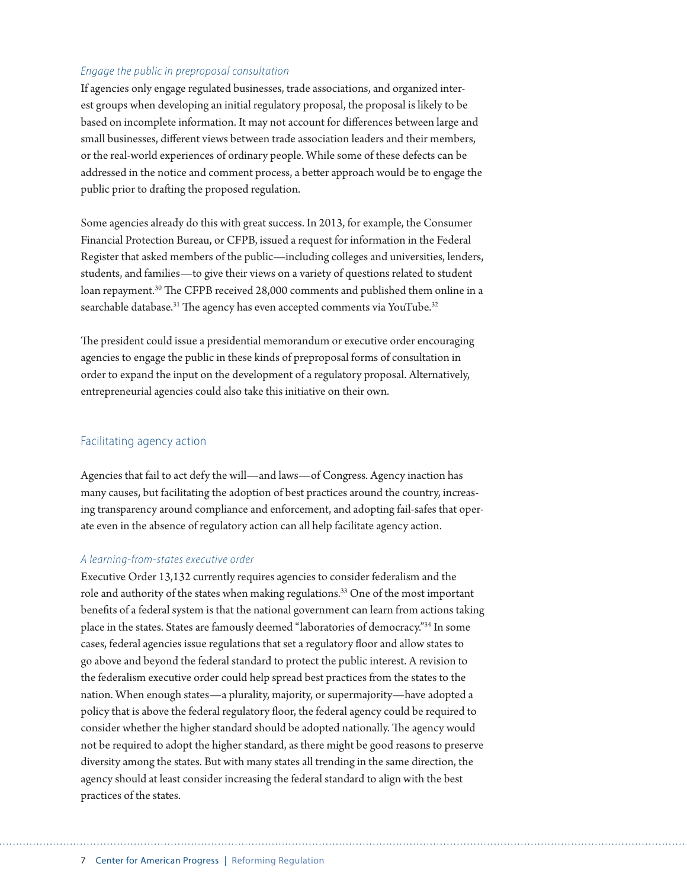#### *Engage the public in preproposal consultation*

If agencies only engage regulated businesses, trade associations, and organized interest groups when developing an initial regulatory proposal, the proposal is likely to be based on incomplete information. It may not account for differences between large and small businesses, different views between trade association leaders and their members, or the real-world experiences of ordinary people. While some of these defects can be addressed in the notice and comment process, a better approach would be to engage the public prior to drafting the proposed regulation.

Some agencies already do this with great success. In 2013, for example, the Consumer Financial Protection Bureau, or CFPB, issued a request for information in the Federal Register that asked members of the public—including colleges and universities, lenders, students, and families—to give their views on a variety of questions related to student loan repayment.<sup>30</sup> The CFPB received 28,000 comments and published them online in a searchable database.<sup>31</sup> The agency has even accepted comments via YouTube.<sup>32</sup>

The president could issue a presidential memorandum or executive order encouraging agencies to engage the public in these kinds of preproposal forms of consultation in order to expand the input on the development of a regulatory proposal. Alternatively, entrepreneurial agencies could also take this initiative on their own.

#### Facilitating agency action

Agencies that fail to act defy the will—and laws—of Congress. Agency inaction has many causes, but facilitating the adoption of best practices around the country, increasing transparency around compliance and enforcement, and adopting fail-safes that operate even in the absence of regulatory action can all help facilitate agency action.

#### *A learning-from-states executive order*

Executive Order 13,132 currently requires agencies to consider federalism and the role and authority of the states when making regulations.<sup>33</sup> One of the most important benefits of a federal system is that the national government can learn from actions taking place in the states. States are famously deemed "laboratories of democracy."34 In some cases, federal agencies issue regulations that set a regulatory floor and allow states to go above and beyond the federal standard to protect the public interest. A revision to the federalism executive order could help spread best practices from the states to the nation. When enough states—a plurality, majority, or supermajority—have adopted a policy that is above the federal regulatory floor, the federal agency could be required to consider whether the higher standard should be adopted nationally. The agency would not be required to adopt the higher standard, as there might be good reasons to preserve diversity among the states. But with many states all trending in the same direction, the agency should at least consider increasing the federal standard to align with the best practices of the states.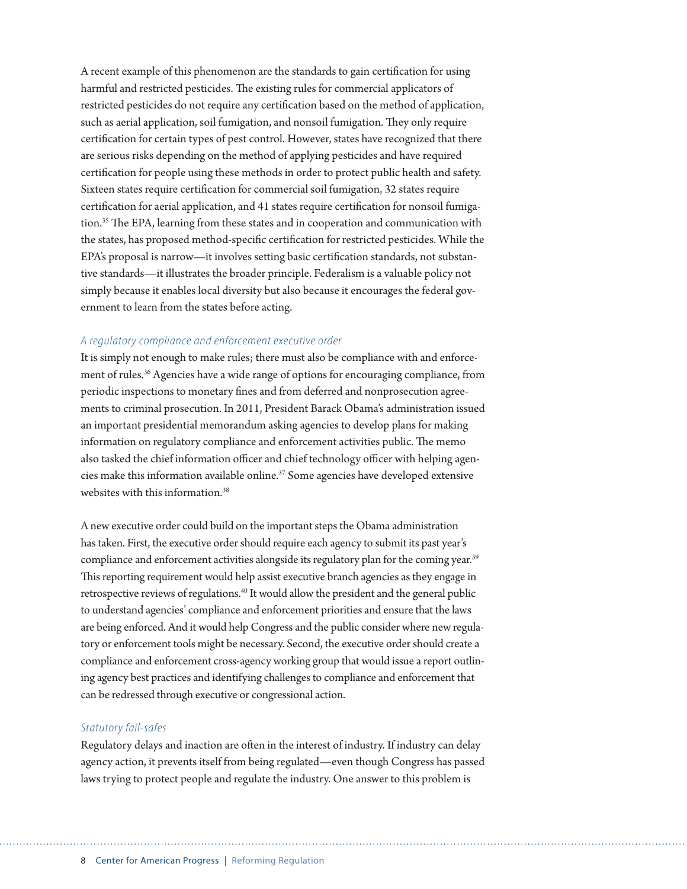A recent example of this phenomenon are the standards to gain certification for using harmful and restricted pesticides. The existing rules for commercial applicators of restricted pesticides do not require any certification based on the method of application, such as aerial application, soil fumigation, and nonsoil fumigation. They only require certification for certain types of pest control. However, states have recognized that there are serious risks depending on the method of applying pesticides and have required certification for people using these methods in order to protect public health and safety. Sixteen states require certification for commercial soil fumigation, 32 states require certification for aerial application, and 41 states require certification for nonsoil fumigation.35 The EPA, learning from these states and in cooperation and communication with the states, has proposed method-specific certification for restricted pesticides. While the EPA's proposal is narrow—it involves setting basic certification standards, not substantive standards—it illustrates the broader principle. Federalism is a valuable policy not simply because it enables local diversity but also because it encourages the federal government to learn from the states before acting.

#### *A regulatory compliance and enforcement executive order*

It is simply not enough to make rules; there must also be compliance with and enforcement of rules.36 Agencies have a wide range of options for encouraging compliance, from periodic inspections to monetary fines and from deferred and nonprosecution agreements to criminal prosecution. In 2011, President Barack Obama's administration issued an important presidential memorandum asking agencies to develop plans for making information on regulatory compliance and enforcement activities public. The memo also tasked the chief information officer and chief technology officer with helping agencies make this information available online.37 Some agencies have developed extensive websites with this information.<sup>38</sup>

A new executive order could build on the important steps the Obama administration has taken. First, the executive order should require each agency to submit its past year's compliance and enforcement activities alongside its regulatory plan for the coming year.<sup>39</sup> This reporting requirement would help assist executive branch agencies as they engage in retrospective reviews of regulations.<sup>40</sup> It would allow the president and the general public to understand agencies' compliance and enforcement priorities and ensure that the laws are being enforced. And it would help Congress and the public consider where new regulatory or enforcement tools might be necessary. Second, the executive order should create a compliance and enforcement cross-agency working group that would issue a report outlining agency best practices and identifying challenges to compliance and enforcement that can be redressed through executive or congressional action.

#### *Statutory fail-safes*

Regulatory delays and inaction are often in the interest of industry. If industry can delay agency action, it prevents itself from being regulated—even though Congress has passed laws trying to protect people and regulate the industry. One answer to this problem is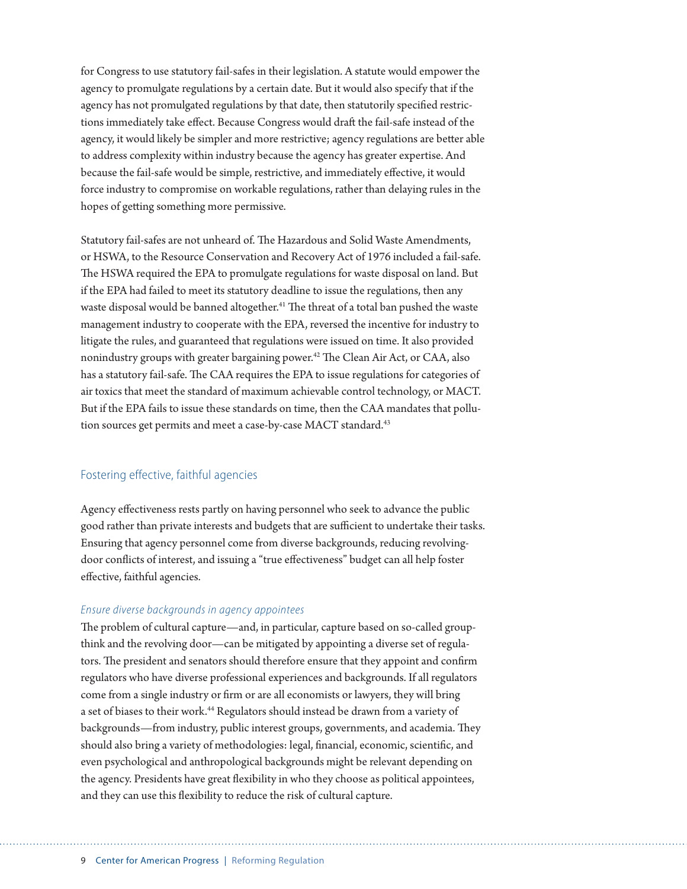for Congress to use statutory fail-safes in their legislation. A statute would empower the agency to promulgate regulations by a certain date. But it would also specify that if the agency has not promulgated regulations by that date, then statutorily specified restrictions immediately take effect. Because Congress would draft the fail-safe instead of the agency, it would likely be simpler and more restrictive; agency regulations are better able to address complexity within industry because the agency has greater expertise. And because the fail-safe would be simple, restrictive, and immediately effective, it would force industry to compromise on workable regulations, rather than delaying rules in the hopes of getting something more permissive.

Statutory fail-safes are not unheard of. The Hazardous and Solid Waste Amendments, or HSWA, to the Resource Conservation and Recovery Act of 1976 included a fail-safe. The HSWA required the EPA to promulgate regulations for waste disposal on land. But if the EPA had failed to meet its statutory deadline to issue the regulations, then any waste disposal would be banned altogether.<sup>41</sup> The threat of a total ban pushed the waste management industry to cooperate with the EPA, reversed the incentive for industry to litigate the rules, and guaranteed that regulations were issued on time. It also provided nonindustry groups with greater bargaining power.<sup>42</sup> The Clean Air Act, or CAA, also has a statutory fail-safe. The CAA requires the EPA to issue regulations for categories of air toxics that meet the standard of maximum achievable control technology, or MACT. But if the EPA fails to issue these standards on time, then the CAA mandates that pollution sources get permits and meet a case-by-case MACT standard.<sup>43</sup>

#### Fostering effective, faithful agencies

Agency effectiveness rests partly on having personnel who seek to advance the public good rather than private interests and budgets that are sufficient to undertake their tasks. Ensuring that agency personnel come from diverse backgrounds, reducing revolvingdoor conflicts of interest, and issuing a "true effectiveness" budget can all help foster effective, faithful agencies.

#### *Ensure diverse backgrounds in agency appointees*

The problem of cultural capture—and, in particular, capture based on so-called groupthink and the revolving door—can be mitigated by appointing a diverse set of regulators. The president and senators should therefore ensure that they appoint and confirm regulators who have diverse professional experiences and backgrounds. If all regulators come from a single industry or firm or are all economists or lawyers, they will bring a set of biases to their work.<sup>44</sup> Regulators should instead be drawn from a variety of backgrounds—from industry, public interest groups, governments, and academia. They should also bring a variety of methodologies: legal, financial, economic, scientific, and even psychological and anthropological backgrounds might be relevant depending on the agency. Presidents have great flexibility in who they choose as political appointees, and they can use this flexibility to reduce the risk of cultural capture.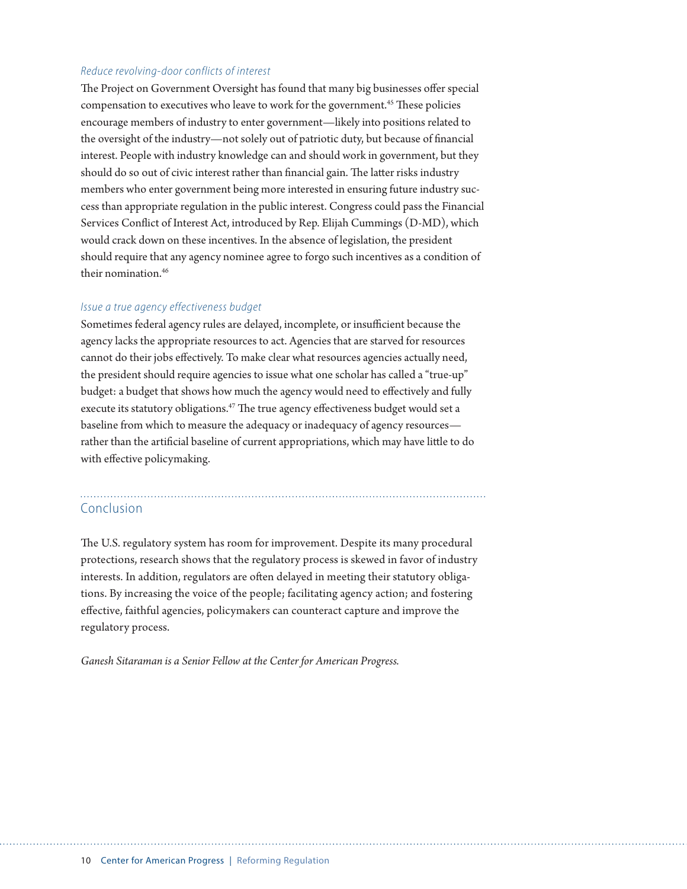#### *Reduce revolving-door conflicts of interest*

The Project on Government Oversight has found that many big businesses offer special compensation to executives who leave to work for the government.<sup>45</sup> These policies encourage members of industry to enter government—likely into positions related to the oversight of the industry—not solely out of patriotic duty, but because of financial interest. People with industry knowledge can and should work in government, but they should do so out of civic interest rather than financial gain. The latter risks industry members who enter government being more interested in ensuring future industry success than appropriate regulation in the public interest. Congress could pass the Financial Services Conflict of Interest Act, introduced by Rep. Elijah Cummings (D-MD), which would crack down on these incentives. In the absence of legislation, the president should require that any agency nominee agree to forgo such incentives as a condition of their nomination.46

#### *Issue a true agency effectiveness budget*

Sometimes federal agency rules are delayed, incomplete, or insufficient because the agency lacks the appropriate resources to act. Agencies that are starved for resources cannot do their jobs effectively. To make clear what resources agencies actually need, the president should require agencies to issue what one scholar has called a "true-up" budget: a budget that shows how much the agency would need to effectively and fully execute its statutory obligations.<sup>47</sup> The true agency effectiveness budget would set a baseline from which to measure the adequacy or inadequacy of agency resources rather than the artificial baseline of current appropriations, which may have little to do with effective policymaking.

#### Conclusion

The U.S. regulatory system has room for improvement. Despite its many procedural protections, research shows that the regulatory process is skewed in favor of industry interests. In addition, regulators are often delayed in meeting their statutory obligations. By increasing the voice of the people; facilitating agency action; and fostering effective, faithful agencies, policymakers can counteract capture and improve the regulatory process.

*Ganesh Sitaraman is a Senior Fellow at the Center for American Progress.*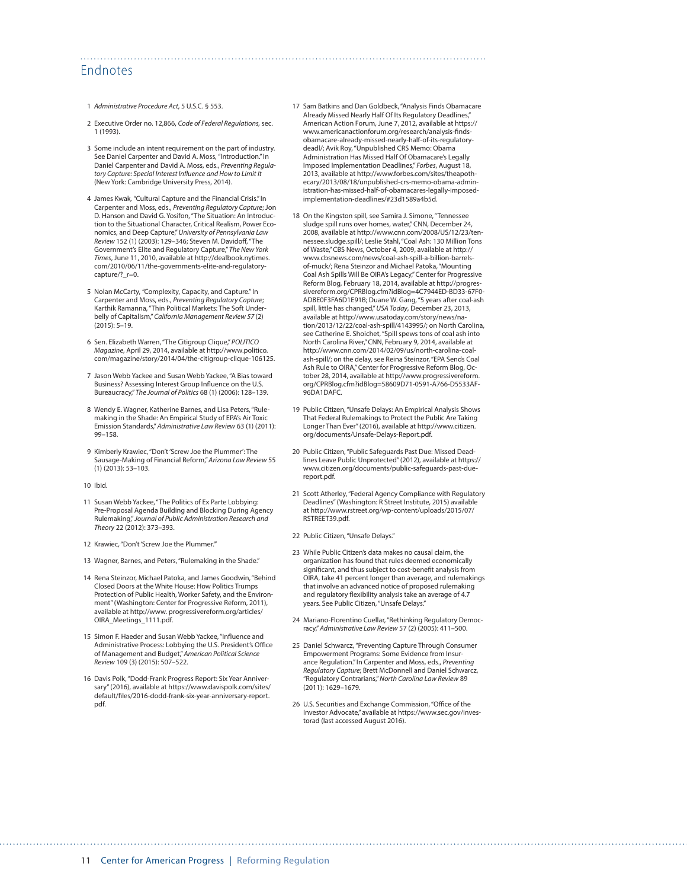#### Endnotes

- 1 *Administrative Procedure Act*, 5 U.S.C. § 553.
- 2 Executive Order no. 12,866, *Code of Federal Regulations,* sec. 1 (1993).
- 3 Some include an intent requirement on the part of industry. See Daniel Carpenter and David A. Moss*,* "Introduction." In Daniel Carpenter and David A. Moss, eds., *Preventing Regulatory Capture: Special Interest Influence and How to Limit It* (New York: Cambridge University Press, 2014).
- 4 James Kwak*,* "Cultural Capture and the Financial Crisis." In Carpenter and Moss, eds., *Preventing Regulatory Capture*; Jon D. Hanson and David G. Yosifon, "The Situation: An Introduction to the Situational Character, Critical Realism, Power Economics, and Deep Capture," *University of Pennsylvania Law Review* 152 (1) (2003): 129–346; Steven M. Davidoff, "The Government's Elite and Regulatory Capture," *The New York Times*, June 11, 2010, available at [http://dealbook.nytimes.](http://dealbook.nytimes.com/2010/06/11/the-governments-elite-and-regulatory-capture/?_r=0) [com/2010/06/11/the-governments-elite-and-regulatory](http://dealbook.nytimes.com/2010/06/11/the-governments-elite-and-regulatory-capture/?_r=0)capture/? r=0.
- 5 Nolan McCarty, *"*Complexity, Capacity, and Capture." In Carpenter and Moss, eds., *Preventing Regulatory Capture*; Karthik Ramanna, "Thin Political Markets: The Soft Underbelly of Capitalism," *California Management Review 57* (2)  $(2015): 5-19.$
- 6 Sen. Elizabeth Warren, "The Citigroup Clique," *POLITICO Magazine*, April 29, 2014, available at [http://www.politico.](http://www.politico.com/magazine/story/2014/04/the-citigroup-clique-106125) [com/magazine/story/2014/04/the-citigroup-clique-106125.](http://www.politico.com/magazine/story/2014/04/the-citigroup-clique-106125)
- 7 Jason Webb Yackee and Susan Webb Yackee, "A Bias toward Business? Assessing Interest Group Influence on the U.S. Bureaucracy," *The Journal of Politics* 68 (1) (2006): 128–139.
- 8 Wendy E. Wagner, Katherine Barnes, and Lisa Peters, "Rulemaking in the Shade: An Empirical Study of EPA's Air Toxic Emission Standards," *Administrative Law Review* 63 (1) (2011): 99–158.
- 9 Kimberly Krawiec, "Don't 'Screw Joe the Plummer': The Sausage-Making of Financial Reform," *Arizona Law Review* 55 (1) (2013): 53–103.
- 10 Ibid.
- 11 Susan Webb Yackee, "The Politics of Ex Parte Lobbying: Pre-Proposal Agenda Building and Blocking During Agency Rulemaking," *Journal of Public Administration Research and Theory* 22 (2012): 373–393.
- 12 Krawiec, "Don't 'Screw Joe the Plummer.'"
- 13 Wagner, Barnes, and Peters, "Rulemaking in the Shade."
- 14 Rena Steinzor, Michael Patoka, and James Goodwin, "Behind Closed Doors at the White House: How Politics Trumps Protection of Public Health, Worker Safety, and the Environment" (Washington: Center for Progressive Reform, 2011), available at http://www. progressivereform.org/articles/ OIRA Meetings 1111.pdf.
- 15 Simon F. Haeder and Susan Webb Yackee, "Influence and Administrative Process: Lobbying the U.S. President's Office of Management and Budget," *American Political Science Review* 109 (3) (2015): 507–522.
- 16 Davis Polk, "Dodd-Frank Progress Report: Six Year Anniversary" (2016), available at [https://www.davispolk.com/sites/](https://www.davispolk.com/sites/default/files/2016-dodd-frank-six-year-anniversary-report.pdf) [default/files/2016-dodd-frank-six-year-anniversary-report.](https://www.davispolk.com/sites/default/files/2016-dodd-frank-six-year-anniversary-report.pdf) [pdf](https://www.davispolk.com/sites/default/files/2016-dodd-frank-six-year-anniversary-report.pdf).

17 Sam Batkins and Dan Goldbeck, "Analysis Finds Obamacare Already Missed Nearly Half Of Its Regulatory Deadlines, American Action Forum, June 7, 2012, available at [https://](https://www.americanactionforum.org/research/analysis-finds-obamacare-already-missed-nearly-half-of-its-regulatory-deadl/) [www.americanactionforum.org/research/analysis-finds](https://www.americanactionforum.org/research/analysis-finds-obamacare-already-missed-nearly-half-of-its-regulatory-deadl/)[obamacare-already-missed-nearly-half-of-its-regulatory](https://www.americanactionforum.org/research/analysis-finds-obamacare-already-missed-nearly-half-of-its-regulatory-deadl/)[deadl/;](https://www.americanactionforum.org/research/analysis-finds-obamacare-already-missed-nearly-half-of-its-regulatory-deadl/) Avik Roy, "Unpublished CRS Memo: Obama Administration Has Missed Half Of Obamacare's Legally Imposed Implementation Deadlines," *Forbes*, August 18, 2013, available at http://www.forbes.com/sites/theapothecary/2013/08/18/unpublished-crs-memo-obama-administration-has-missed-half-of-obamacares-legally-imposedimplementation-deadlines/#23d1589a4b5d.

- 18 On the Kingston spill, see Samira J. Simone, "Tennessee sludge spill runs over homes, water," CNN, December 24, 2008, available at [http://www.cnn.com/2008/US/12/23/ten](http://www.cnn.com/2008/US/12/23/tennessee.sludge.spill/)[nessee.sludge.spill/;](http://www.cnn.com/2008/US/12/23/tennessee.sludge.spill/) Leslie Stahl, "Coal Ash: 130 Million Tons of Waste," CBS News, October 4, 2009, available at [http://](http://www.cbsnews.com/news/coal-ash-spill-a-billion-barrels-of-muck/) [www.cbsnews.com/news/coal-ash-spill-a-billion-barrels](http://www.cbsnews.com/news/coal-ash-spill-a-billion-barrels-of-muck/)[of-muck/;](http://www.cbsnews.com/news/coal-ash-spill-a-billion-barrels-of-muck/) Rena Steinzor and Michael Patoka, "Mounting Coal Ash Spills Will Be OIRA's Legacy," Center for Progressive Reform Blog, February 18, 2014, available at [http://progres](http://progressivereform.org/CPRBlog.cfm?idBlog=4C7944ED-BD33-67F0-ADBE0F3FA6D1E91B)[sivereform.org/CPRBlog.cfm?idBlog=4C7944ED-BD33-67F0-](http://progressivereform.org/CPRBlog.cfm?idBlog=4C7944ED-BD33-67F0-ADBE0F3FA6D1E91B) [ADBE0F3FA6D1E91B](http://progressivereform.org/CPRBlog.cfm?idBlog=4C7944ED-BD33-67F0-ADBE0F3FA6D1E91B); Duane W. Gang, "5 years after coal-ash spill, little has changed," *USA Today*, December 23, 2013, available at [http://www.usatoday.com/story/news/na](http://www.usatoday.com/story/news/nation/2013/12/22/coal-ash-spill/4143995/)[tion/2013/12/22/coal-ash-spill/4143995/;](http://www.usatoday.com/story/news/nation/2013/12/22/coal-ash-spill/4143995/) on North Carolina, see Catherine E. Shoichet, "Spill spews tons of coal ash into North Carolina River," CNN, February 9, 2014, available at [http://www.cnn.com/2014/02/09/us/north-carolina-coal](http://www.cnn.com/2014/02/09/us/north-carolina-coal-ash-spill/)[ash-spill/;](http://www.cnn.com/2014/02/09/us/north-carolina-coal-ash-spill/) on the delay, see Reina Steinzor, "EPA Sends Coal Ash Rule to OIRA," Center for Progressive Reform Blog, October 28, 2014, available at [http://www.progressivereform.](http://www.progressivereform.org/CPRBlog.cfm?idBlog=58609D71-0591-A766-D5533AF96DA1DAFC) [org/CPRBlog.cfm?idBlog=58609D71-0591-A766-D5533AF-](http://www.progressivereform.org/CPRBlog.cfm?idBlog=58609D71-0591-A766-D5533AF96DA1DAFC)[96DA1DAFC.](http://www.progressivereform.org/CPRBlog.cfm?idBlog=58609D71-0591-A766-D5533AF96DA1DAFC)
- 19 Public Citizen, "Unsafe Delays: An Empirical Analysis Shows That Federal Rulemakings to Protect the Public Are Taking Longer Than Ever" (2016), available at [http://www.citizen.](http://www.citizen.org/documents/Unsafe-Delays-Report.pdf) [org/documents/Unsafe-Delays-Report.pdf](http://www.citizen.org/documents/Unsafe-Delays-Report.pdf).
- 20 Public Citizen, "Public Safeguards Past Due: Missed Deadlines Leave Public Unprotected" (2012), available at [https://](https://www.citizen.org/documents/public-safeguards-past-due-report.pdf) [www.citizen.org/documents/public-safeguards-past-due](https://www.citizen.org/documents/public-safeguards-past-due-report.pdf)[report.pdf.](https://www.citizen.org/documents/public-safeguards-past-due-report.pdf)
- 21 Scott Atherley, "Federal Agency Compliance with Regulatory Deadlines" (Washington: R Street Institute, 2015) available at [http://www.rstreet.org/wp-content/uploads/2015/07/](http://www.rstreet.org/wp-content/uploads/2015/07/RSTREET39.pdf) [RSTREET39.pdf](http://www.rstreet.org/wp-content/uploads/2015/07/RSTREET39.pdf).
- 22 Public Citizen, "Unsafe Delays."
- 23 While Public Citizen's data makes no causal claim, the organization has found that rules deemed economically significant, and thus subject to cost-benefit analysis from OIRA, take 41 percent longer than average, and rulemakings that involve an advanced notice of proposed rulemaking and regulatory flexibility analysis take an average of 4.7 years. See Public Citizen, "Unsafe Delays."
- 24 Mariano-Florentino Cuellar, "Rethinking Regulatory Democracy," *Administrative Law Review* 57 (2) (2005): 411–500.
- 25 Daniel Schwarcz, "Preventing Capture Through Consumer Empowerment Programs: Some Evidence from Insurance Regulation." In Carpenter and Moss, eds., *Preventing Regulatory Capture*; Brett McDonnell and Daniel Schwarcz, "Regulatory Contrarians," *North Carolina Law Review* 89 (2011): 1629–1679.
- 26 U.S. Securities and Exchange Commission, "Office of the Investor Advocate," available at [https://www.sec.gov/inves](https://www.sec.gov/investorad)[torad](https://www.sec.gov/investorad) (last accessed August 2016).